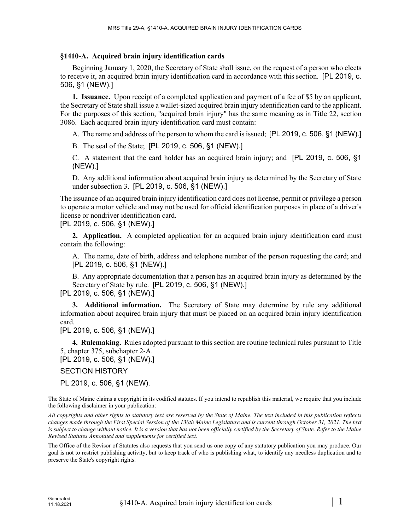## **§1410-A. Acquired brain injury identification cards**

Beginning January 1, 2020, the Secretary of State shall issue, on the request of a person who elects to receive it, an acquired brain injury identification card in accordance with this section. [PL 2019, c. 506, §1 (NEW).]

**1. Issuance.** Upon receipt of a completed application and payment of a fee of \$5 by an applicant, the Secretary of State shall issue a wallet-sized acquired brain injury identification card to the applicant. For the purposes of this section, "acquired brain injury" has the same meaning as in Title 22, section 3086. Each acquired brain injury identification card must contain:

A. The name and address of the person to whom the card is issued; [PL 2019, c. 506, §1 (NEW).]

B. The seal of the State; [PL 2019, c. 506, §1 (NEW).]

C. A statement that the card holder has an acquired brain injury; and [PL 2019, c. 506, §1 (NEW).]

D. Any additional information about acquired brain injury as determined by the Secretary of State under subsection 3. [PL 2019, c. 506, §1 (NEW).]

The issuance of an acquired brain injury identification card does not license, permit or privilege a person to operate a motor vehicle and may not be used for official identification purposes in place of a driver's license or nondriver identification card.

[PL 2019, c. 506, §1 (NEW).]

**2. Application.** A completed application for an acquired brain injury identification card must contain the following:

A. The name, date of birth, address and telephone number of the person requesting the card; and [PL 2019, c. 506, §1 (NEW).]

B. Any appropriate documentation that a person has an acquired brain injury as determined by the Secretary of State by rule. [PL 2019, c. 506, §1 (NEW).] [PL 2019, c. 506, §1 (NEW).]

**3. Additional information.** The Secretary of State may determine by rule any additional information about acquired brain injury that must be placed on an acquired brain injury identification card.

[PL 2019, c. 506, §1 (NEW).]

**4. Rulemaking.** Rules adopted pursuant to this section are routine technical rules pursuant to Title 5, chapter 375, subchapter 2‑A.

[PL 2019, c. 506, §1 (NEW).]

SECTION HISTORY

PL 2019, c. 506, §1 (NEW).

The State of Maine claims a copyright in its codified statutes. If you intend to republish this material, we require that you include the following disclaimer in your publication:

*All copyrights and other rights to statutory text are reserved by the State of Maine. The text included in this publication reflects changes made through the First Special Session of the 130th Maine Legislature and is current through October 31, 2021. The text*  is subject to change without notice. It is a version that has not been officially certified by the Secretary of State. Refer to the Maine *Revised Statutes Annotated and supplements for certified text.*

The Office of the Revisor of Statutes also requests that you send us one copy of any statutory publication you may produce. Our goal is not to restrict publishing activity, but to keep track of who is publishing what, to identify any needless duplication and to preserve the State's copyright rights.